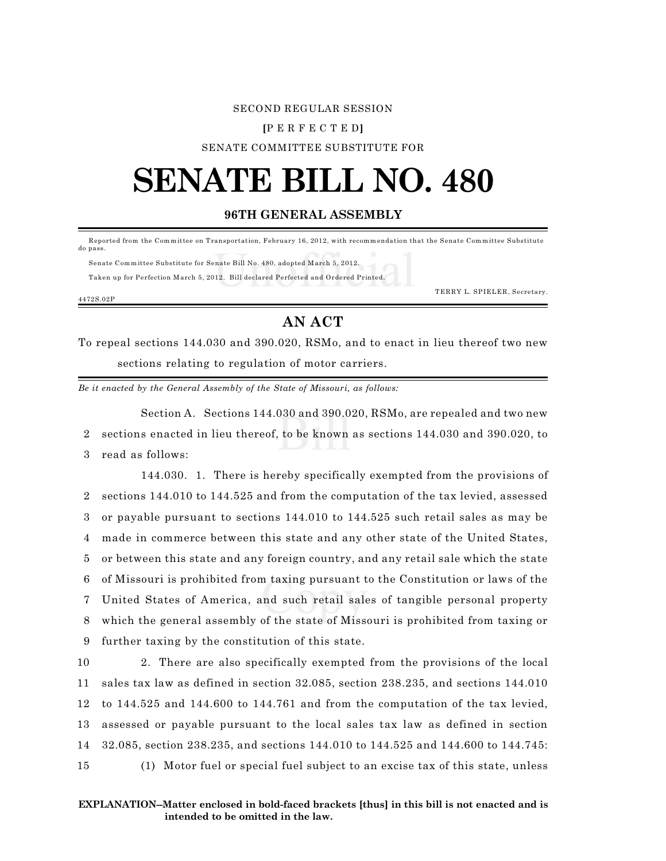### SECOND REGULAR SESSION

#### **[**P E R F E C T E D**]**

SENATE COMMITTEE SUBSTITUTE FOR

# **SENATE BILL NO. 480**

## **96TH GENERAL ASSEMBLY**

Reported from the Committee on Transportation, February 16, 2012, with recommendation that the Senate Committee Substitute do pass.

 Senate Comm ittee Substitute for Senate Bill No. 480, adopted March 5, 2012. Taken up for Perfection March 5, 2012. Bill declared Perfected and Ordered Printed.

TERRY L. SPIELER, Secretary.

4472S.02P

## **AN ACT**

To repeal sections 144.030 and 390.020, RSMo, and to enact in lieu thereof two new sections relating to regulation of motor carriers.

*Be it enacted by the General Assembly of the State of Missouri, as follows:*

Section A. Sections 144.030 and 390.020, RSMo, are repealed and two new 2 sections enacted in lieu thereof, to be known as sections 144.030 and 390.020, to 3 read as follows:

144.030. 1. There is hereby specifically exempted from the provisions of sections 144.010 to 144.525 and from the computation of the tax levied, assessed or payable pursuant to sections 144.010 to 144.525 such retail sales as may be made in commerce between this state and any other state of the United States, or between this state and any foreign country, and any retail sale which the state of Missouri is prohibited from taxing pursuant to the Constitution or laws of the United States of America, and such retail sales of tangible personal property which the general assembly of the state of Missouri is prohibited from taxing or further taxing by the constitution of this state.

 2. There are also specifically exempted from the provisions of the local sales tax law as defined in section 32.085, section 238.235, and sections 144.010 to 144.525 and 144.600 to 144.761 and from the computation of the tax levied, assessed or payable pursuant to the local sales tax law as defined in section 32.085, section 238.235, and sections 144.010 to 144.525 and 144.600 to 144.745: (1) Motor fuel or special fuel subject to an excise tax of this state, unless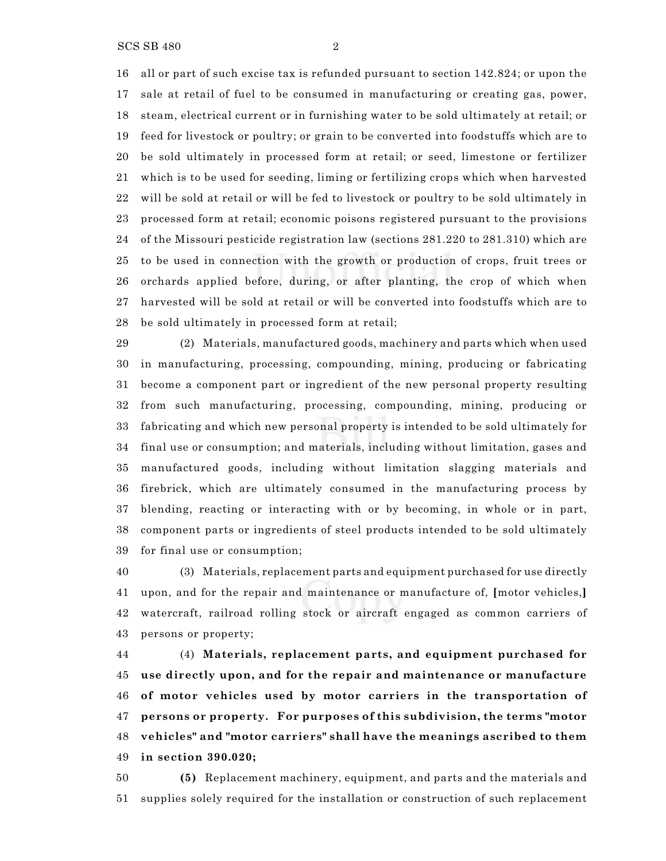SCS SB 480 2

 all or part of such excise tax is refunded pursuant to section 142.824; or upon the sale at retail of fuel to be consumed in manufacturing or creating gas, power, steam, electrical current or in furnishing water to be sold ultimately at retail; or feed for livestock or poultry; or grain to be converted into foodstuffs which are to be sold ultimately in processed form at retail; or seed, limestone or fertilizer which is to be used for seeding, liming or fertilizing crops which when harvested will be sold at retail or will be fed to livestock or poultry to be sold ultimately in processed form at retail; economic poisons registered pursuant to the provisions of the Missouri pesticide registration law (sections 281.220 to 281.310) which are to be used in connection with the growth or production of crops, fruit trees or orchards applied before, during, or after planting, the crop of which when harvested will be sold at retail or will be converted into foodstuffs which are to be sold ultimately in processed form at retail;

 (2) Materials, manufactured goods, machinery and parts which when used in manufacturing, processing, compounding, mining, producing or fabricating become a component part or ingredient of the new personal property resulting from such manufacturing, processing, compounding, mining, producing or fabricating and which new personal property is intended to be sold ultimately for final use or consumption; and materials, including without limitation, gases and manufactured goods, including without limitation slagging materials and firebrick, which are ultimately consumed in the manufacturing process by blending, reacting or interacting with or by becoming, in whole or in part, component parts or ingredients of steel products intended to be sold ultimately for final use or consumption;

 (3) Materials, replacement parts and equipment purchased for use directly upon, and for the repair and maintenance or manufacture of, **[**motor vehicles,**]** watercraft, railroad rolling stock or aircraft engaged as common carriers of persons or property;

 (4) **Materials, replacement parts, and equipment purchased for use directly upon, and for the repair and maintenance or manufacture of motor vehicles used by motor carriers in the transportation of persons or property. For purposes of this subdivision, the terms "motor vehicles" and "motor carriers" shall have the meanings ascribed to them in section 390.020;**

 **(5)** Replacement machinery, equipment, and parts and the materials and supplies solely required for the installation or construction of such replacement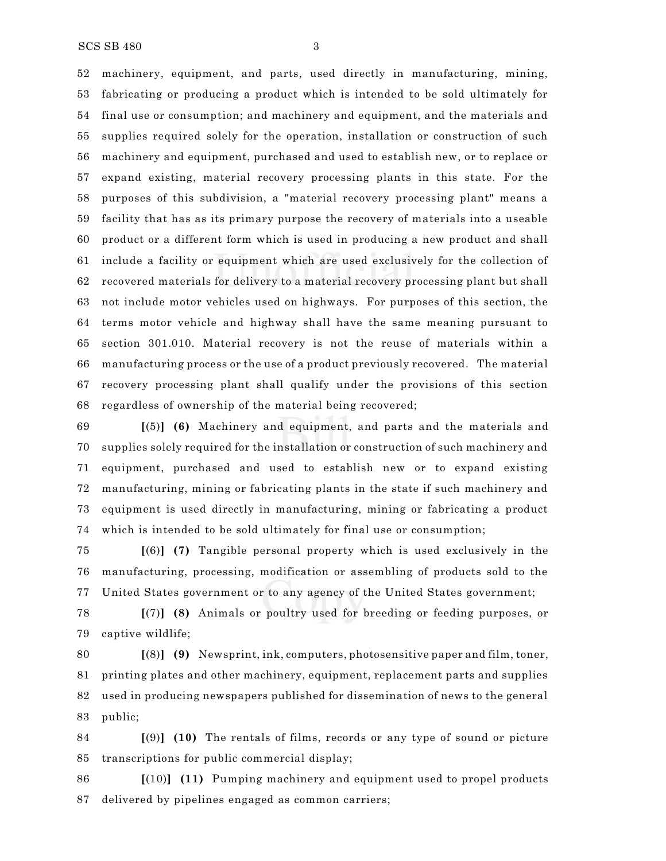machinery, equipment, and parts, used directly in manufacturing, mining, fabricating or producing a product which is intended to be sold ultimately for final use or consumption; and machinery and equipment, and the materials and supplies required solely for the operation, installation or construction of such machinery and equipment, purchased and used to establish new, or to replace or expand existing, material recovery processing plants in this state. For the purposes of this subdivision, a "material recovery processing plant" means a facility that has as its primary purpose the recovery of materials into a useable product or a different form which is used in producing a new product and shall include a facility or equipment which are used exclusively for the collection of recovered materials for delivery to a material recovery processing plant but shall not include motor vehicles used on highways. For purposes of this section, the terms motor vehicle and highway shall have the same meaning pursuant to section 301.010. Material recovery is not the reuse of materials within a manufacturing process or the use of a product previously recovered. The material recovery processing plant shall qualify under the provisions of this section regardless of ownership of the material being recovered;

 **[**(5)**] (6)** Machinery and equipment, and parts and the materials and supplies solely required for the installation or construction of such machinery and equipment, purchased and used to establish new or to expand existing manufacturing, mining or fabricating plants in the state if such machinery and equipment is used directly in manufacturing, mining or fabricating a product which is intended to be sold ultimately for final use or consumption;

 **[**(6)**] (7)** Tangible personal property which is used exclusively in the manufacturing, processing, modification or assembling of products sold to the United States government or to any agency of the United States government;

 **[**(7)**] (8)** Animals or poultry used for breeding or feeding purposes, or captive wildlife;

 **[**(8)**] (9)** Newsprint, ink, computers, photosensitive paper and film, toner, printing plates and other machinery, equipment, replacement parts and supplies used in producing newspapers published for dissemination of news to the general public;

 **[**(9)**] (10)** The rentals of films, records or any type of sound or picture transcriptions for public commercial display;

 **[**(10)**] (11)** Pumping machinery and equipment used to propel products delivered by pipelines engaged as common carriers;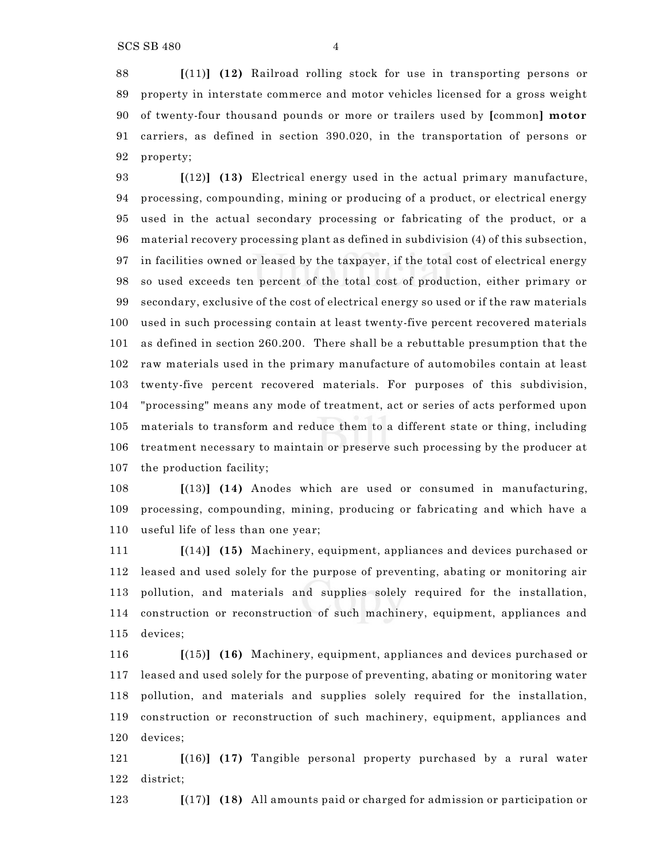**[**(11)**] (12)** Railroad rolling stock for use in transporting persons or property in interstate commerce and motor vehicles licensed for a gross weight of twenty-four thousand pounds or more or trailers used by **[**common**] motor** carriers, as defined in section 390.020, in the transportation of persons or property;

 **[**(12)**] (13)** Electrical energy used in the actual primary manufacture, processing, compounding, mining or producing of a product, or electrical energy used in the actual secondary processing or fabricating of the product, or a material recovery processing plant as defined in subdivision (4) of this subsection, in facilities owned or leased by the taxpayer, if the total cost of electrical energy so used exceeds ten percent of the total cost of production, either primary or secondary, exclusive of the cost of electrical energy so used or if the raw materials used in such processing contain at least twenty-five percent recovered materials as defined in section 260.200. There shall be a rebuttable presumption that the raw materials used in the primary manufacture of automobiles contain at least twenty-five percent recovered materials. For purposes of this subdivision, "processing" means any mode of treatment, act or series of acts performed upon materials to transform and reduce them to a different state or thing, including treatment necessary to maintain or preserve such processing by the producer at the production facility;

 **[**(13)**] (14)** Anodes which are used or consumed in manufacturing, processing, compounding, mining, producing or fabricating and which have a useful life of less than one year;

 **[**(14)**] (15)** Machinery, equipment, appliances and devices purchased or leased and used solely for the purpose of preventing, abating or monitoring air pollution, and materials and supplies solely required for the installation, construction or reconstruction of such machinery, equipment, appliances and devices;

 **[**(15)**] (16)** Machinery, equipment, appliances and devices purchased or leased and used solely for the purpose of preventing, abating or monitoring water pollution, and materials and supplies solely required for the installation, construction or reconstruction of such machinery, equipment, appliances and devices;

 **[**(16)**] (17)** Tangible personal property purchased by a rural water district;

**[**(17)**] (18)** All amounts paid or charged for admission or participation or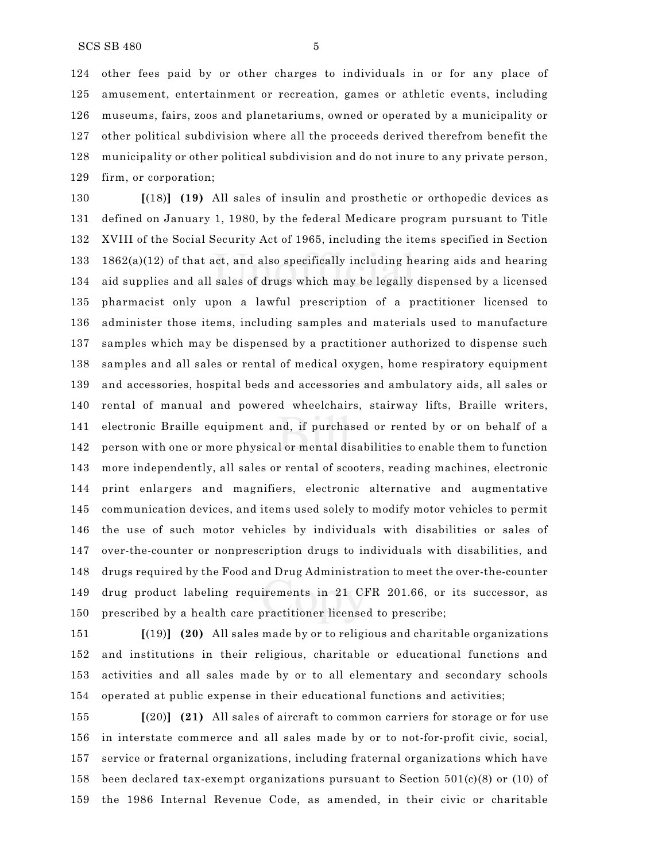other fees paid by or other charges to individuals in or for any place of amusement, entertainment or recreation, games or athletic events, including museums, fairs, zoos and planetariums, owned or operated by a municipality or other political subdivision where all the proceeds derived therefrom benefit the municipality or other political subdivision and do not inure to any private person, firm, or corporation;

 **[**(18)**] (19)** All sales of insulin and prosthetic or orthopedic devices as defined on January 1, 1980, by the federal Medicare program pursuant to Title XVIII of the Social Security Act of 1965, including the items specified in Section 133 1862(a)(12) of that act, and also specifically including hearing aids and hearing aid supplies and all sales of drugs which may be legally dispensed by a licensed pharmacist only upon a lawful prescription of a practitioner licensed to administer those items, including samples and materials used to manufacture samples which may be dispensed by a practitioner authorized to dispense such samples and all sales or rental of medical oxygen, home respiratory equipment and accessories, hospital beds and accessories and ambulatory aids, all sales or rental of manual and powered wheelchairs, stairway lifts, Braille writers, electronic Braille equipment and, if purchased or rented by or on behalf of a person with one or more physical or mental disabilities to enable them to function more independently, all sales or rental of scooters, reading machines, electronic print enlargers and magnifiers, electronic alternative and augmentative communication devices, and items used solely to modify motor vehicles to permit the use of such motor vehicles by individuals with disabilities or sales of over-the-counter or nonprescription drugs to individuals with disabilities, and drugs required by the Food and Drug Administration to meet the over-the-counter drug product labeling requirements in 21 CFR 201.66, or its successor, as prescribed by a health care practitioner licensed to prescribe;

 **[**(19)**] (20)** All sales made by or to religious and charitable organizations and institutions in their religious, charitable or educational functions and activities and all sales made by or to all elementary and secondary schools operated at public expense in their educational functions and activities;

 **[**(20)**] (21)** All sales of aircraft to common carriers for storage or for use in interstate commerce and all sales made by or to not-for-profit civic, social, service or fraternal organizations, including fraternal organizations which have 158 been declared tax-exempt organizations pursuant to Section  $501(c)(8)$  or (10) of the 1986 Internal Revenue Code, as amended, in their civic or charitable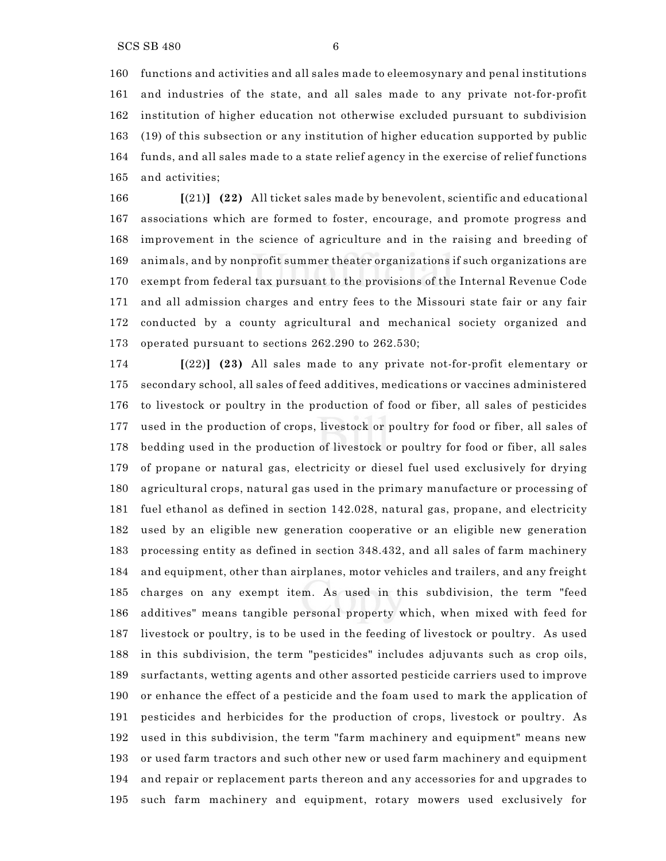functions and activities and all sales made to eleemosynary and penal institutions and industries of the state, and all sales made to any private not-for-profit institution of higher education not otherwise excluded pursuant to subdivision (19) of this subsection or any institution of higher education supported by public funds, and all sales made to a state relief agency in the exercise of relief functions and activities;

 **[**(21)**] (22)** All ticket sales made by benevolent, scientific and educational associations which are formed to foster, encourage, and promote progress and improvement in the science of agriculture and in the raising and breeding of animals, and by nonprofit summer theater organizations if such organizations are exempt from federal tax pursuant to the provisions of the Internal Revenue Code and all admission charges and entry fees to the Missouri state fair or any fair conducted by a county agricultural and mechanical society organized and operated pursuant to sections 262.290 to 262.530;

 **[**(22)**] (23)** All sales made to any private not-for-profit elementary or secondary school, all sales of feed additives, medications or vaccines administered to livestock or poultry in the production of food or fiber, all sales of pesticides used in the production of crops, livestock or poultry for food or fiber, all sales of bedding used in the production of livestock or poultry for food or fiber, all sales of propane or natural gas, electricity or diesel fuel used exclusively for drying agricultural crops, natural gas used in the primary manufacture or processing of fuel ethanol as defined in section 142.028, natural gas, propane, and electricity used by an eligible new generation cooperative or an eligible new generation processing entity as defined in section 348.432, and all sales of farm machinery and equipment, other than airplanes, motor vehicles and trailers, and any freight charges on any exempt item. As used in this subdivision, the term "feed additives" means tangible personal property which, when mixed with feed for livestock or poultry, is to be used in the feeding of livestock or poultry. As used in this subdivision, the term "pesticides" includes adjuvants such as crop oils, surfactants, wetting agents and other assorted pesticide carriers used to improve or enhance the effect of a pesticide and the foam used to mark the application of pesticides and herbicides for the production of crops, livestock or poultry. As used in this subdivision, the term "farm machinery and equipment" means new or used farm tractors and such other new or used farm machinery and equipment and repair or replacement parts thereon and any accessories for and upgrades to such farm machinery and equipment, rotary mowers used exclusively for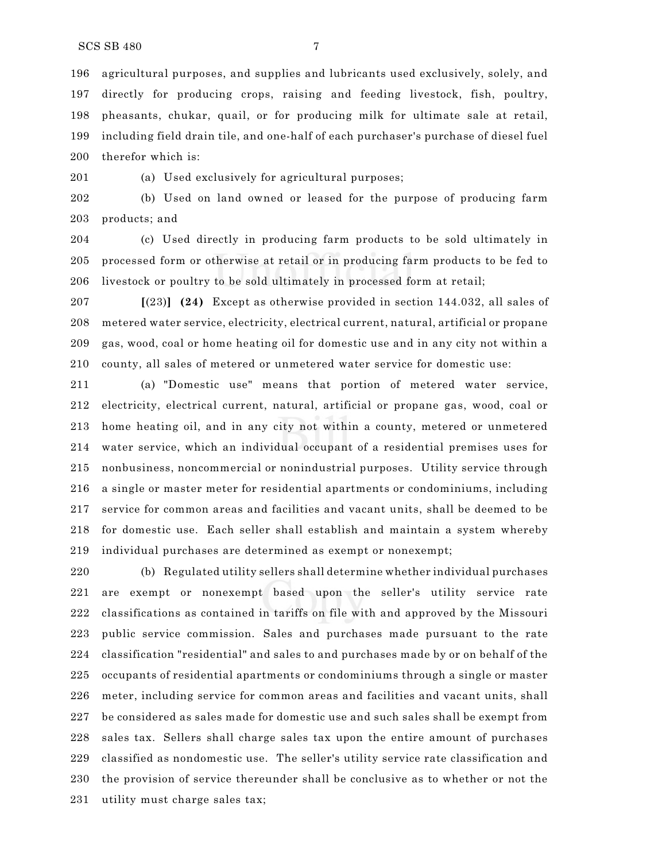agricultural purposes, and supplies and lubricants used exclusively, solely, and directly for producing crops, raising and feeding livestock, fish, poultry, pheasants, chukar, quail, or for producing milk for ultimate sale at retail, including field drain tile, and one-half of each purchaser's purchase of diesel fuel therefor which is:

(a) Used exclusively for agricultural purposes;

 (b) Used on land owned or leased for the purpose of producing farm products; and

 (c) Used directly in producing farm products to be sold ultimately in processed form or otherwise at retail or in producing farm products to be fed to livestock or poultry to be sold ultimately in processed form at retail;

 **[**(23)**] (24)** Except as otherwise provided in section 144.032, all sales of metered water service, electricity, electrical current, natural, artificial or propane gas, wood, coal or home heating oil for domestic use and in any city not within a county, all sales of metered or unmetered water service for domestic use:

 (a) "Domestic use" means that portion of metered water service, electricity, electrical current, natural, artificial or propane gas, wood, coal or home heating oil, and in any city not within a county, metered or unmetered water service, which an individual occupant of a residential premises uses for nonbusiness, noncommercial or nonindustrial purposes. Utility service through a single or master meter for residential apartments or condominiums, including service for common areas and facilities and vacant units, shall be deemed to be for domestic use. Each seller shall establish and maintain a system whereby individual purchases are determined as exempt or nonexempt;

 (b) Regulated utility sellers shall determine whether individual purchases are exempt or nonexempt based upon the seller's utility service rate classifications as contained in tariffs on file with and approved by the Missouri public service commission. Sales and purchases made pursuant to the rate classification "residential" and sales to and purchases made by or on behalf of the occupants of residential apartments or condominiums through a single or master meter, including service for common areas and facilities and vacant units, shall be considered as sales made for domestic use and such sales shall be exempt from sales tax. Sellers shall charge sales tax upon the entire amount of purchases classified as nondomestic use. The seller's utility service rate classification and the provision of service thereunder shall be conclusive as to whether or not the utility must charge sales tax;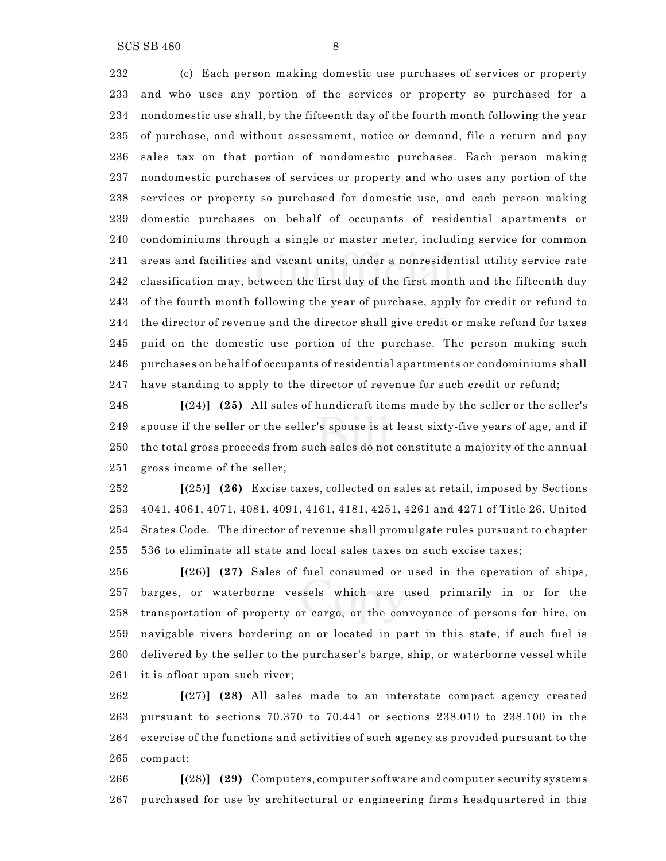SCS SB 480 8

 (c) Each person making domestic use purchases of services or property and who uses any portion of the services or property so purchased for a nondomestic use shall, by the fifteenth day of the fourth month following the year of purchase, and without assessment, notice or demand, file a return and pay sales tax on that portion of nondomestic purchases. Each person making nondomestic purchases of services or property and who uses any portion of the services or property so purchased for domestic use, and each person making domestic purchases on behalf of occupants of residential apartments or condominiums through a single or master meter, including service for common areas and facilities and vacant units, under a nonresidential utility service rate classification may, between the first day of the first month and the fifteenth day of the fourth month following the year of purchase, apply for credit or refund to the director of revenue and the director shall give credit or make refund for taxes paid on the domestic use portion of the purchase. The person making such purchases on behalf of occupants of residential apartments or condominiums shall have standing to apply to the director of revenue for such credit or refund;

 **[**(24)**] (25)** All sales of handicraft items made by the seller or the seller's spouse if the seller or the seller's spouse is at least sixty-five years of age, and if the total gross proceeds from such sales do not constitute a majority of the annual gross income of the seller;

 **[**(25)**] (26)** Excise taxes, collected on sales at retail, imposed by Sections 4041, 4061, 4071, 4081, 4091, 4161, 4181, 4251, 4261 and 4271 of Title 26, United States Code. The director of revenue shall promulgate rules pursuant to chapter 536 to eliminate all state and local sales taxes on such excise taxes;

 **[**(26)**] (27)** Sales of fuel consumed or used in the operation of ships, barges, or waterborne vessels which are used primarily in or for the transportation of property or cargo, or the conveyance of persons for hire, on navigable rivers bordering on or located in part in this state, if such fuel is delivered by the seller to the purchaser's barge, ship, or waterborne vessel while it is afloat upon such river;

 **[**(27)**] (28)** All sales made to an interstate compact agency created pursuant to sections 70.370 to 70.441 or sections 238.010 to 238.100 in the exercise of the functions and activities of such agency as provided pursuant to the compact;

 **[**(28)**] (29)** Computers, computer software and computer security systems purchased for use by architectural or engineering firms headquartered in this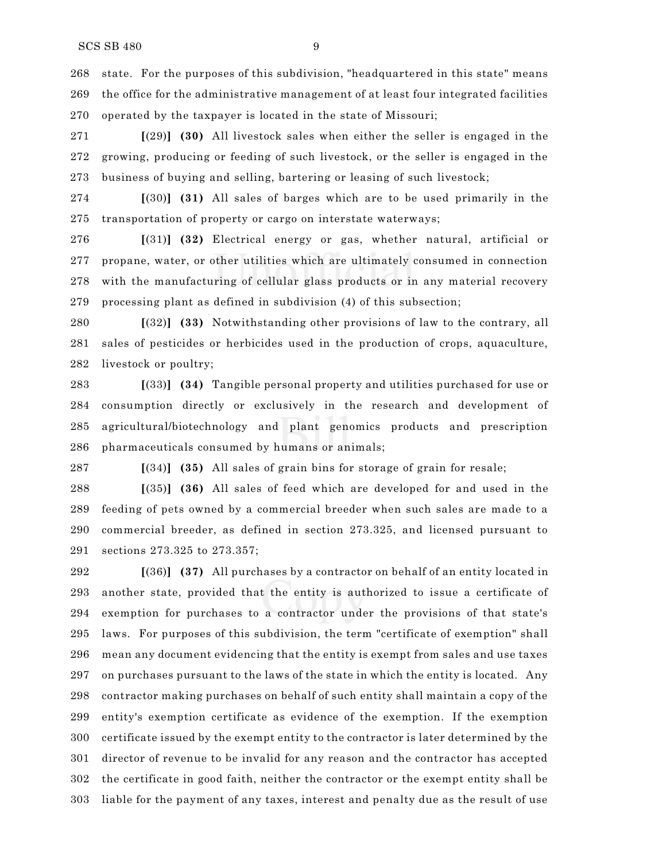state. For the purposes of this subdivision, "headquartered in this state" means the office for the administrative management of at least four integrated facilities operated by the taxpayer is located in the state of Missouri;

 **[**(29)**] (30)** All livestock sales when either the seller is engaged in the growing, producing or feeding of such livestock, or the seller is engaged in the business of buying and selling, bartering or leasing of such livestock;

 **[**(30)**] (31)** All sales of barges which are to be used primarily in the transportation of property or cargo on interstate waterways;

 **[**(31)**] (32)** Electrical energy or gas, whether natural, artificial or propane, water, or other utilities which are ultimately consumed in connection with the manufacturing of cellular glass products or in any material recovery processing plant as defined in subdivision (4) of this subsection;

 **[**(32)**] (33)** Notwithstanding other provisions of law to the contrary, all sales of pesticides or herbicides used in the production of crops, aquaculture, livestock or poultry;

 **[**(33)**] (34)** Tangible personal property and utilities purchased for use or consumption directly or exclusively in the research and development of agricultural/biotechnology and plant genomics products and prescription pharmaceuticals consumed by humans or animals;

**[**(34)**] (35)** All sales of grain bins for storage of grain for resale;

 **[**(35)**] (36)** All sales of feed which are developed for and used in the feeding of pets owned by a commercial breeder when such sales are made to a commercial breeder, as defined in section 273.325, and licensed pursuant to sections 273.325 to 273.357;

 **[**(36)**] (37)** All purchases by a contractor on behalf of an entity located in another state, provided that the entity is authorized to issue a certificate of exemption for purchases to a contractor under the provisions of that state's laws. For purposes of this subdivision, the term "certificate of exemption" shall mean any document evidencing that the entity is exempt from sales and use taxes on purchases pursuant to the laws of the state in which the entity is located. Any contractor making purchases on behalf of such entity shall maintain a copy of the entity's exemption certificate as evidence of the exemption. If the exemption certificate issued by the exempt entity to the contractor is later determined by the director of revenue to be invalid for any reason and the contractor has accepted the certificate in good faith, neither the contractor or the exempt entity shall be liable for the payment of any taxes, interest and penalty due as the result of use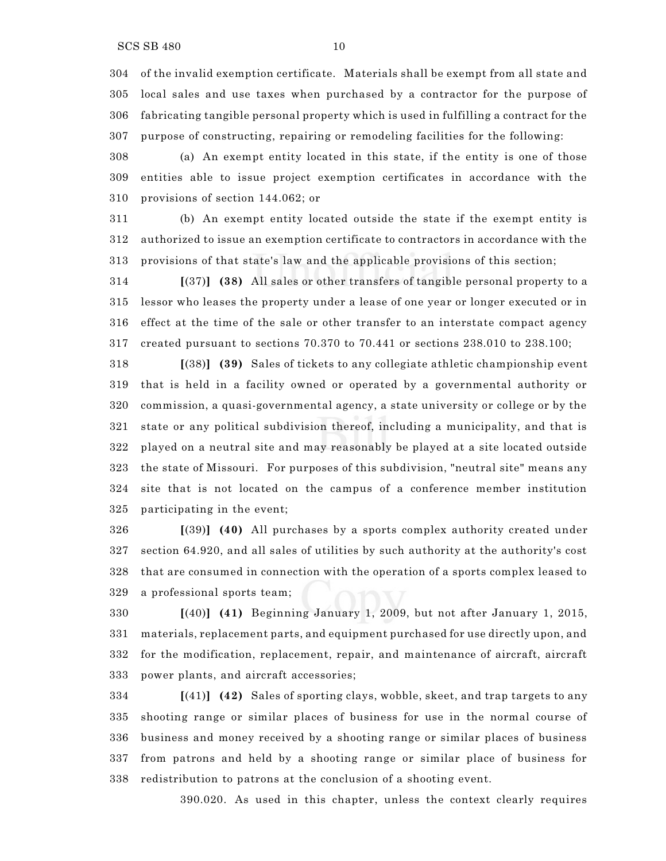of the invalid exemption certificate. Materials shall be exempt from all state and local sales and use taxes when purchased by a contractor for the purpose of fabricating tangible personal property which is used in fulfilling a contract for the purpose of constructing, repairing or remodeling facilities for the following:

 (a) An exempt entity located in this state, if the entity is one of those entities able to issue project exemption certificates in accordance with the provisions of section 144.062; or

 (b) An exempt entity located outside the state if the exempt entity is authorized to issue an exemption certificate to contractors in accordance with the provisions of that state's law and the applicable provisions of this section;

 **[**(37)**] (38)** All sales or other transfers of tangible personal property to a lessor who leases the property under a lease of one year or longer executed or in effect at the time of the sale or other transfer to an interstate compact agency created pursuant to sections 70.370 to 70.441 or sections 238.010 to 238.100;

 **[**(38)**] (39)** Sales of tickets to any collegiate athletic championship event that is held in a facility owned or operated by a governmental authority or commission, a quasi-governmental agency, a state university or college or by the state or any political subdivision thereof, including a municipality, and that is played on a neutral site and may reasonably be played at a site located outside the state of Missouri. For purposes of this subdivision, "neutral site" means any site that is not located on the campus of a conference member institution participating in the event;

 **[**(39)**] (40)** All purchases by a sports complex authority created under section 64.920, and all sales of utilities by such authority at the authority's cost that are consumed in connection with the operation of a sports complex leased to a professional sports team;

 **[**(40)**] (41)** Beginning January 1, 2009, but not after January 1, 2015, materials, replacement parts, and equipment purchased for use directly upon, and for the modification, replacement, repair, and maintenance of aircraft, aircraft power plants, and aircraft accessories;

 **[**(41)**] (42)** Sales of sporting clays, wobble, skeet, and trap targets to any shooting range or similar places of business for use in the normal course of business and money received by a shooting range or similar places of business from patrons and held by a shooting range or similar place of business for redistribution to patrons at the conclusion of a shooting event.

390.020. As used in this chapter, unless the context clearly requires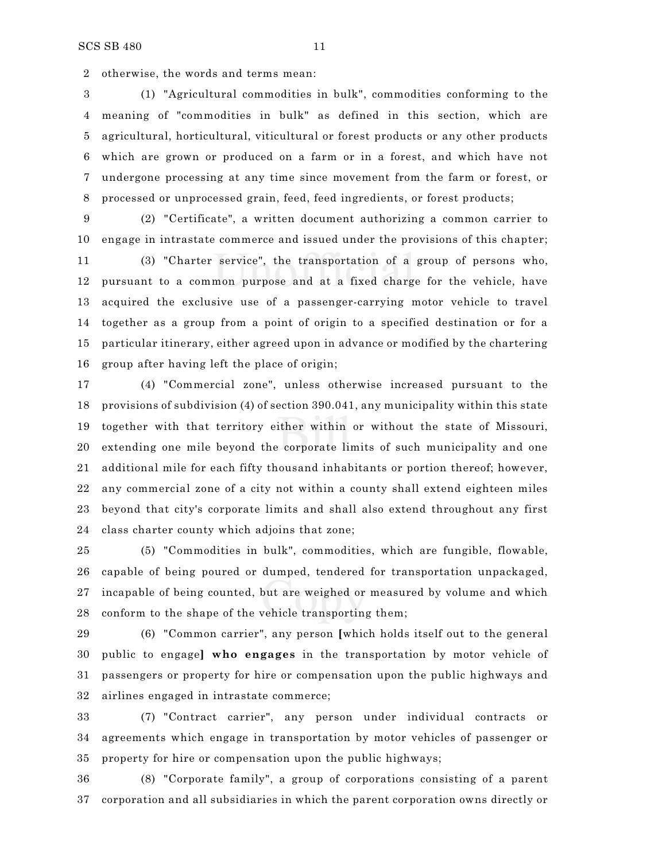otherwise, the words and terms mean:

 (1) "Agricultural commodities in bulk", commodities conforming to the meaning of "commodities in bulk" as defined in this section, which are agricultural, horticultural, viticultural or forest products or any other products which are grown or produced on a farm or in a forest, and which have not undergone processing at any time since movement from the farm or forest, or processed or unprocessed grain, feed, feed ingredients, or forest products;

 (2) "Certificate", a written document authorizing a common carrier to engage in intrastate commerce and issued under the provisions of this chapter;

 (3) "Charter service", the transportation of a group of persons who, pursuant to a common purpose and at a fixed charge for the vehicle, have acquired the exclusive use of a passenger-carrying motor vehicle to travel together as a group from a point of origin to a specified destination or for a particular itinerary, either agreed upon in advance or modified by the chartering group after having left the place of origin;

 (4) "Commercial zone", unless otherwise increased pursuant to the provisions of subdivision (4) of section 390.041, any municipality within this state together with that territory either within or without the state of Missouri, extending one mile beyond the corporate limits of such municipality and one additional mile for each fifty thousand inhabitants or portion thereof; however, any commercial zone of a city not within a county shall extend eighteen miles beyond that city's corporate limits and shall also extend throughout any first class charter county which adjoins that zone;

 (5) "Commodities in bulk", commodities, which are fungible, flowable, capable of being poured or dumped, tendered for transportation unpackaged, incapable of being counted, but are weighed or measured by volume and which conform to the shape of the vehicle transporting them;

 (6) "Common carrier", any person **[**which holds itself out to the general public to engage**] who engages** in the transportation by motor vehicle of passengers or property for hire or compensation upon the public highways and airlines engaged in intrastate commerce;

 (7) "Contract carrier", any person under individual contracts or agreements which engage in transportation by motor vehicles of passenger or property for hire or compensation upon the public highways;

 (8) "Corporate family", a group of corporations consisting of a parent corporation and all subsidiaries in which the parent corporation owns directly or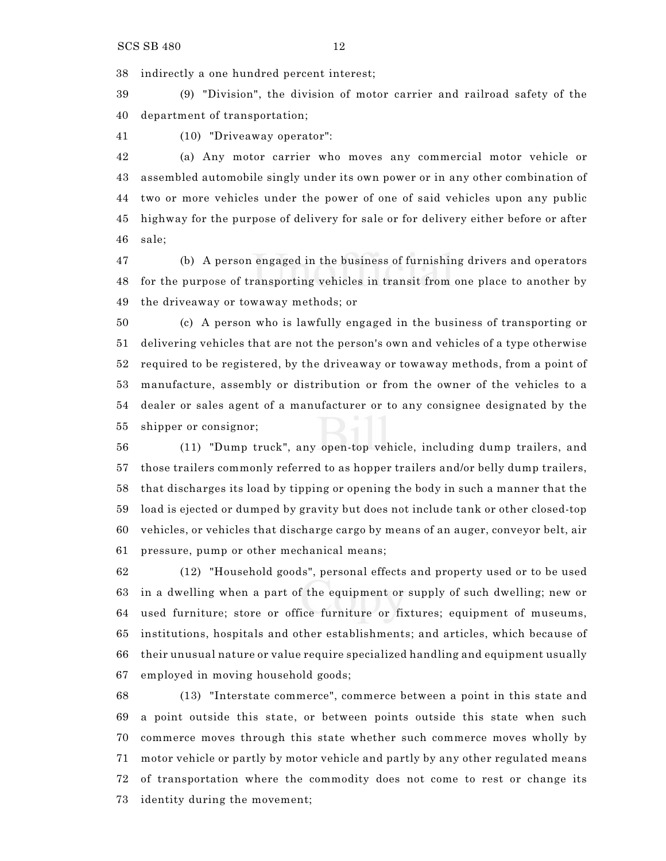indirectly a one hundred percent interest;

 (9) "Division", the division of motor carrier and railroad safety of the department of transportation;

(10) "Driveaway operator":

 (a) Any motor carrier who moves any commercial motor vehicle or assembled automobile singly under its own power or in any other combination of two or more vehicles under the power of one of said vehicles upon any public highway for the purpose of delivery for sale or for delivery either before or after sale;

 (b) A person engaged in the business of furnishing drivers and operators for the purpose of transporting vehicles in transit from one place to another by the driveaway or towaway methods; or

 (c) A person who is lawfully engaged in the business of transporting or delivering vehicles that are not the person's own and vehicles of a type otherwise required to be registered, by the driveaway or towaway methods, from a point of manufacture, assembly or distribution or from the owner of the vehicles to a dealer or sales agent of a manufacturer or to any consignee designated by the shipper or consignor;

 (11) "Dump truck", any open-top vehicle, including dump trailers, and those trailers commonly referred to as hopper trailers and/or belly dump trailers, that discharges its load by tipping or opening the body in such a manner that the load is ejected or dumped by gravity but does not include tank or other closed-top vehicles, or vehicles that discharge cargo by means of an auger, conveyor belt, air pressure, pump or other mechanical means;

 (12) "Household goods", personal effects and property used or to be used in a dwelling when a part of the equipment or supply of such dwelling; new or used furniture; store or office furniture or fixtures; equipment of museums, institutions, hospitals and other establishments; and articles, which because of their unusual nature or value require specialized handling and equipment usually employed in moving household goods;

 (13) "Interstate commerce", commerce between a point in this state and a point outside this state, or between points outside this state when such commerce moves through this state whether such commerce moves wholly by motor vehicle or partly by motor vehicle and partly by any other regulated means of transportation where the commodity does not come to rest or change its identity during the movement;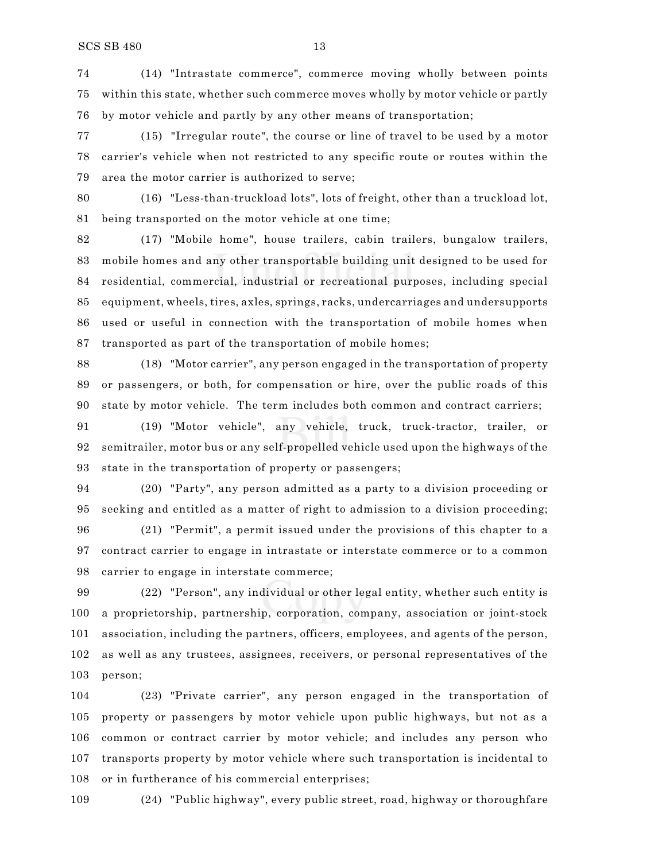(14) "Intrastate commerce", commerce moving wholly between points within this state, whether such commerce moves wholly by motor vehicle or partly by motor vehicle and partly by any other means of transportation;

 (15) "Irregular route", the course or line of travel to be used by a motor carrier's vehicle when not restricted to any specific route or routes within the area the motor carrier is authorized to serve;

 (16) "Less-than-truckload lots", lots of freight, other than a truckload lot, being transported on the motor vehicle at one time;

 (17) "Mobile home", house trailers, cabin trailers, bungalow trailers, mobile homes and any other transportable building unit designed to be used for residential, commercial, industrial or recreational purposes, including special equipment, wheels, tires, axles, springs, racks, undercarriages and undersupports used or useful in connection with the transportation of mobile homes when transported as part of the transportation of mobile homes;

 (18) "Motor carrier", any person engaged in the transportation of property or passengers, or both, for compensation or hire, over the public roads of this state by motor vehicle. The term includes both common and contract carriers;

 (19) "Motor vehicle", any vehicle, truck, truck-tractor, trailer, or semitrailer, motor bus or any self-propelled vehicle used upon the highways of the state in the transportation of property or passengers;

 (20) "Party", any person admitted as a party to a division proceeding or seeking and entitled as a matter of right to admission to a division proceeding;

 (21) "Permit", a permit issued under the provisions of this chapter to a contract carrier to engage in intrastate or interstate commerce or to a common carrier to engage in interstate commerce;

 (22) "Person", any individual or other legal entity, whether such entity is a proprietorship, partnership, corporation, company, association or joint-stock association, including the partners, officers, employees, and agents of the person, as well as any trustees, assignees, receivers, or personal representatives of the person;

 (23) "Private carrier", any person engaged in the transportation of property or passengers by motor vehicle upon public highways, but not as a common or contract carrier by motor vehicle; and includes any person who transports property by motor vehicle where such transportation is incidental to or in furtherance of his commercial enterprises;

(24) "Public highway", every public street, road, highway or thoroughfare